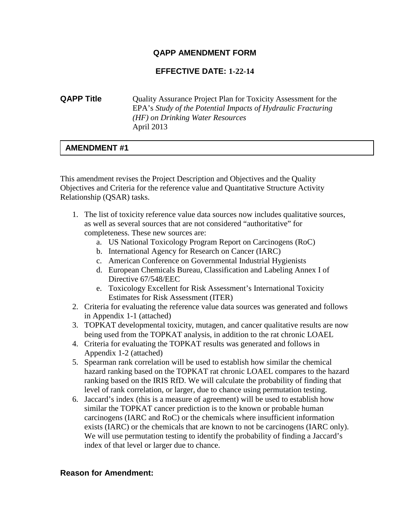#### **QAPP AMENDMENT FORM**

#### **EFFECTIVE DATE: 1-22-14**

#### *(HF) on Drinking Water Resources* **QAPP Title** Quality Assurance Project Plan for Toxicity Assessment for the EPA's *Study of the Potential Impacts of Hydraulic Fracturing*  April 2013

#### **AMENDMENT #1**

This amendment revises the Project Description and Objectives and the Quality Objectives and Criteria for the reference value and Quantitative Structure Activity Relationship (QSAR) tasks.

- 1. The list of toxicity reference value data sources now includes qualitative sources, as well as several sources that are not considered "authoritative" for completeness. These new sources are:
	- a. US National Toxicology Program Report on Carcinogens (RoC)
	- b. International Agency for Research on Cancer (IARC)
	- c. American Conference on Governmental Industrial Hygienists
	- d. European Chemicals Bureau, Classification and Labeling Annex I of Directive 67/548/EEC
	- e. Toxicology Excellent for Risk Assessment's International Toxicity Estimates for Risk Assessment (ITER)
- 2. Criteria for evaluating the reference value data sources was generated and follows in Appendix 1-1 (attached)
- being used from the TOPKAT analysis, in addition to the rat chronic LOAEL 3. TOPKAT developmental toxicity, mutagen, and cancer qualitative results are now
- 4. Criteria for evaluating the TOPKAT results was generated and follows in Appendix 1-2 (attached)
- hazard ranking based on the TOPKAT rat chronic LOAEL compares to the hazard ranking based on the IRIS RfD. We will calculate the probability of finding that 5. Spearman rank correlation will be used to establish how similar the chemical level of rank correlation, or larger, due to chance using permutation testing.
- 6. Jaccard's index (this is a measure of agreement) will be used to establish how similar the TOPKAT cancer prediction is to the known or probable human carcinogens (IARC and RoC) or the chemicals where insufficient information exists (IARC) or the chemicals that are known to not be carcinogens (IARC only). We will use permutation testing to identify the probability of finding a Jaccard's index of that level or larger due to chance.

#### **Reason for Amendment:**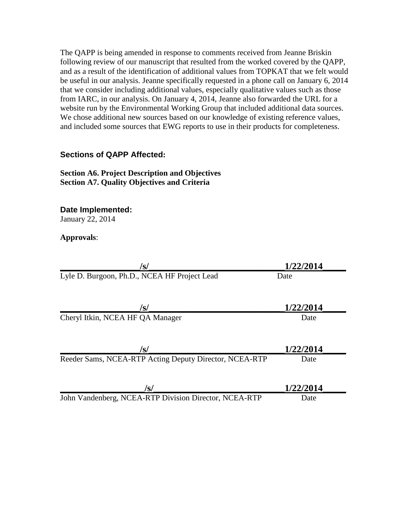from IARC, in our analysis. On January 4, 2014, Jeanne also forwarded the URL for a The QAPP is being amended in response to comments received from Jeanne Briskin following review of our manuscript that resulted from the worked covered by the QAPP, and as a result of the identification of additional values from TOPKAT that we felt would be useful in our analysis. Jeanne specifically requested in a phone call on January 6, 2014 that we consider including additional values, especially qualitative values such as those website run by the Environmental Working Group that included additional data sources. We chose additional new sources based on our knowledge of existing reference values, and included some sources that EWG reports to use in their products for completeness.

#### **Sections of QAPP Affected:**

#### **Section A6. Project Description and Objectives Section A7. Quality Objectives and Criteria**

**Date Implemented:**

January 22, 2014

#### **Approvals**:

| /s/                                                    | 1/22/2014 |
|--------------------------------------------------------|-----------|
| Lyle D. Burgoon, Ph.D., NCEA HF Project Lead           | Date      |
|                                                        |           |
| /s/                                                    | 1/22/2014 |
| Cheryl Itkin, NCEA HF QA Manager                       | Date      |
|                                                        |           |
| /s/                                                    | 1/22/2014 |
| Reeder Sams, NCEA-RTP Acting Deputy Director, NCEA-RTP | Date      |
|                                                        |           |
| /s/                                                    | 1/22/2014 |
| John Vandenberg, NCEA-RTP Division Director, NCEA-RTP  | Date      |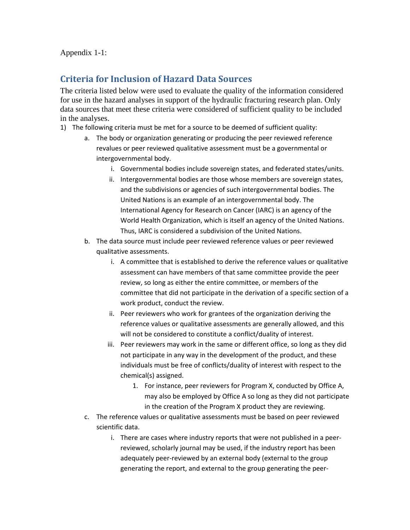Appendix 1-1:

#### **Criteria for Inclusion of Hazard Data Sources**

The criteria listed below were used to evaluate the quality of the information considered for use in the hazard analyses in support of the hydraulic fracturing research plan. Only data sources that meet these criteria were considered of sufficient quality to be included in the analyses.

- 1) The following criteria must be met for a source to be deemed of sufficient quality:
	- a. The body or organization generating or producing the peer reviewed reference revalues or peer reviewed qualitative assessment must be a governmental or intergovernmental body.
		- i. Governmental bodies include sovereign states, and federated states/units.
		- ii. Intergovernmental bodies are those whose members are sovereign states, International Agency for Research on Cancer (IARC) is an agency of the and the subdivisions or agencies of such intergovernmental bodies. The United Nations is an example of an intergovernmental body. The World Health Organization, which is itself an agency of the United Nations. Thus, IARC is considered a subdivision of the United Nations.
	- b. The data source must include peer reviewed reference values or peer reviewed qualitative assessments.
		- review, so long as either the entire committee, or members of the committee that did not participate in the derivation of a specific section of a i. A committee that is established to derive the reference values or qualitative assessment can have members of that same committee provide the peer work product, conduct the review.
		- ii. Peer reviewers who work for grantees of the organization deriving the reference values or qualitative assessments are generally allowed, and this will not be considered to constitute a conflict/duality of interest.
		- iii. Peer reviewers may work in the same or different office, so long as they did not participate in any way in the development of the product, and these individuals must be free of conflicts/duality of interest with respect to the chemical(s) assigned.
			- may also be employed by Office A so long as they did not participate 1. For instance, peer reviewers for Program X, conducted by Office A, in the creation of the Program X product they are reviewing.
	- c. The reference values or qualitative assessments must be based on peer reviewed scientific data.
		- adequately peer-reviewed by an external body (external to the group i. There are cases where industry reports that were not published in a peerreviewed, scholarly journal may be used, if the industry report has been generating the report, and external to the group generating the peer-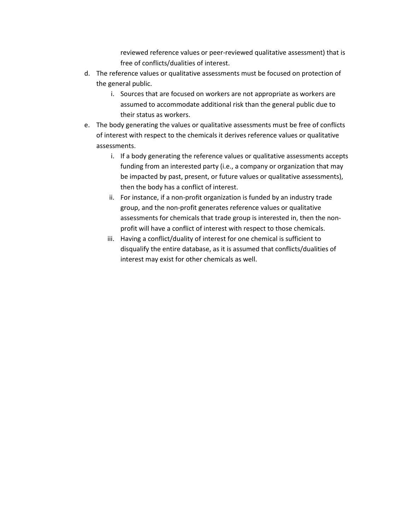reviewed reference values or peer-reviewed qualitative assessment) that is free of conflicts/dualities of interest.

- d. The reference values or qualitative assessments must be focused on protection of the general public.
	- i. Sources that are focused on workers are not appropriate as workers are their status as workers. assumed to accommodate additional risk than the general public due to
- e. The body generating the values or qualitative assessments must be free of conflicts of interest with respect to the chemicals it derives reference values or qualitative assessments.
	- i. If a body generating the reference values or qualitative assessments accepts funding from an interested party (i.e., a company or organization that may be impacted by past, present, or future values or qualitative assessments), then the body has a conflict of interest.
	- ii. For instance, if a non-profit organization is funded by an industry trade group, and the non-profit generates reference values or qualitative assessments for chemicals that trade group is interested in, then the nonprofit will have a conflict of interest with respect to those chemicals.
	- iii. Having a conflict/duality of interest for one chemical is sufficient to disqualify the entire database, as it is assumed that conflicts/dualities of interest may exist for other chemicals as well.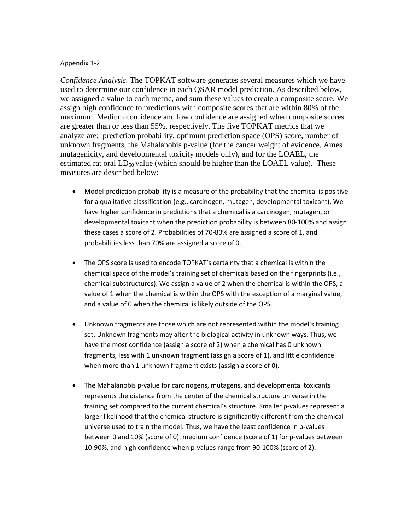#### Appendix 1-2

 mutagenicity, and developmental toxicity models only), and for the LOAEL, the *Confidence Analysis.* The TOPKAT software generates several measures which we have used to determine our confidence in each QSAR model prediction. As described below, we assigned a value to each metric, and sum these values to create a composite score. We assign high confidence to predictions with composite scores that are within 80% of the maximum. Medium confidence and low confidence are assigned when composite scores are greater than or less than 55%, respectively. The five TOPKAT metrics that we analyze are: prediction probability, optimum prediction space (OPS) score, number of unknown fragments, the Mahalanobis p-value (for the cancer weight of evidence, Ames estimated rat oral  $LD_{50}$  value (which should be higher than the LOAEL value). These measures are described below:

- Model prediction probability is a measure of the probability that the chemical is positive for a qualitative classification (e.g., carcinogen, mutagen, developmental toxicant). We have higher confidence in predictions that a chemical is a carcinogen, mutagen, or these cases a score of 2. Probabilities of 70-80% are assigned a score of 1, and probabilities less than 70% are assigned a score of 0. developmental toxicant when the prediction probability is between 80-100% and assign
- The OPS score is used to encode TOPKAT's certainty that a chemical is within the chemical space of the model's training set of chemicals based on the fingerprints (i.e., chemical substructures). We assign a value of 2 when the chemical is within the OPS, a value of 1 when the chemical is within the OPS with the exception of a marginal value, and a value of 0 when the chemical is likely outside of the OPS.
- Unknown fragments are those which are not represented within the model's training set. Unknown fragments may alter the biological activity in unknown ways. Thus, we have the most confidence (assign a score of 2) when a chemical has 0 unknown when more than 1 unknown fragment exists (assign a score of 0). fragments, less with 1 unknown fragment (assign a score of 1), and little confidence
- represents the distance from the center of the chemical structure universe in the larger likelihood that the chemical structure is significantly different from the chemical between 0 and 10% (score of 0), medium confidence (score of 1) for p-values between • The Mahalanobis p-value for carcinogens, mutagens, and developmental toxicants training set compared to the current chemical's structure. Smaller p-values represent a universe used to train the model. Thus, we have the least confidence in p-values 10-90%, and high confidence when p-values range from 90-100% (score of 2).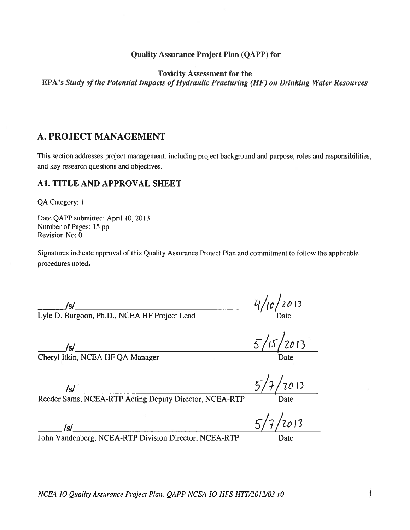#### **Quality Assurance Project Plan (QAPP) for**

**Toxicity Assessment for the** 

EPA's Study of the Potential Impacts of Hydraulic Fracturing (HF) on Drinking Water Resources

#### A. PROJECT MANAGEMENT

This section addresses project management, including project background and purpose, roles and responsibilities, and key research questions and objectives.

#### **A1. TITLE AND APPROVAL SHEET**

QA Category: 1

Date QAPP submitted: April 10, 2013. Number of Pages: 15 pp Revision No: 0

Signatures indicate approval of this Quality Assurance Project Plan and commitment to follow the applicable procedures noted.

/s/<br>Lyle D. Burgoon, Ph.D., NCEA HF Project Lead

/s/<br>Cheryl Itkin, NCEA HF QA Manager

 $5/7/7013$ 

 $5/15/2013$ 

 $\frac{4}{10}$  2013

/s/<br>Reeder Sams, NCEA-RTP Acting Deputy Director, NCEA-RTP

 $5/7/2013$ 

/s/<br>John Vandenberg, NCEA-RTP Division Director, NCEA-RTP

 $\,$  1  $\,$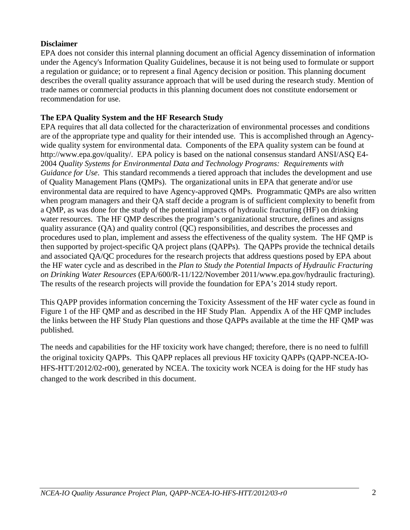#### **Disclaimer**

 EPA does not consider this internal planning document an official Agency dissemination of information a regulation or guidance; or to represent a final Agency decision or position. This planning document under the Agency's Information Quality Guidelines, because it is not being used to formulate or support describes the overall quality assurance approach that will be used during the research study. Mention of trade names or commercial products in this planning document does not constitute endorsement or recommendation for use.

#### **The EPA Quality System and the HF Research Study**

 2004 *Quality Systems for Environmental Data and Technology Programs: Requirements with*  environmental data are required to have Agency-approved QMPs. Programmatic QMPs are also written the HF water cycle and as described in the *Plan to Study the Potential Impacts of Hydraulic Fracturing*  EPA requires that all data collected for the characterization of environmental processes and conditions are of the appropriate type and quality for their intended use. This is accomplished through an Agencywide quality system for environmental data. Components of the EPA quality system can be found at [http://www.epa.gov/quality/. E](http://www.epa.gov/quality/)PA policy is based on the national consensus standard ANSI/ASQ E4 *Guidance for Use*. This standard recommends a tiered approach that includes the development and use of Quality Management Plans (QMPs). The organizational units in EPA that generate and/or use when program managers and their QA staff decide a program is of sufficient complexity to benefit from a QMP, as was done for the study of the potential impacts of hydraulic fracturing (HF) on drinking water resources. The HF QMP describes the program's organizational structure, defines and assigns quality assurance (QA) and quality control (QC) responsibilities, and describes the processes and procedures used to plan, implement and assess the effectiveness of the quality system. The HF QMP is then supported by project-specific QA project plans (QAPPs). The QAPPs provide the technical details and associated QA/QC procedures for the research projects that address questions posed by EPA about *on Drinking Water Resources* (EPA/600/R-11/122/November 2011[/www.epa.gov/hydraulic fra](http://www.epa.gov/hydraulic)cturing). The results of the research projects will provide the foundation for EPA's 2014 study report.

 the links between the HF Study Plan questions and those QAPPs available at the time the HF QMP was This QAPP provides information concerning the Toxicity Assessment of the HF water cycle as found in Figure 1 of the HF QMP and as described in the HF Study Plan. Appendix A of the HF QMP includes published.

 the original toxicity QAPPs. This QAPP replaces all previous HF toxicity QAPPs (QAPP-NCEA-IO-The needs and capabilities for the HF toxicity work have changed; therefore, there is no need to fulfill HFS-HTT/2012/02-r00), generated by NCEA. The toxicity work NCEA is doing for the HF study has changed to the work described in this document.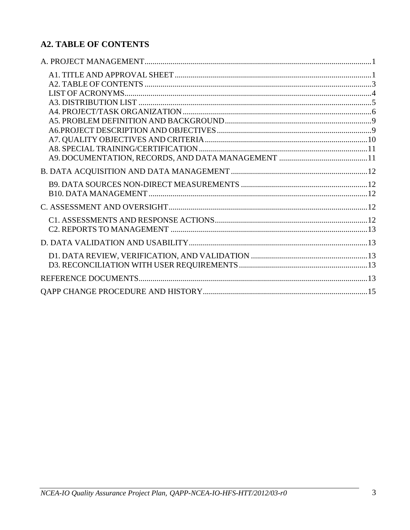## <span id="page-7-0"></span>**A2. TABLE OF CONTENTS**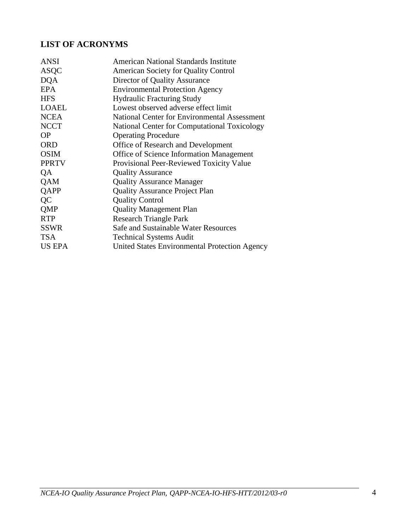### <span id="page-8-0"></span>**LIST OF ACRONYMS**

| American National Standards Institute               |
|-----------------------------------------------------|
| <b>American Society for Quality Control</b>         |
| Director of Quality Assurance                       |
| <b>Environmental Protection Agency</b>              |
| <b>Hydraulic Fracturing Study</b>                   |
| Lowest observed adverse effect limit                |
| National Center for Environmental Assessment        |
| <b>National Center for Computational Toxicology</b> |
| <b>Operating Procedure</b>                          |
| Office of Research and Development                  |
| <b>Office of Science Information Management</b>     |
| Provisional Peer-Reviewed Toxicity Value            |
| <b>Quality Assurance</b>                            |
| <b>Quality Assurance Manager</b>                    |
| <b>Quality Assurance Project Plan</b>               |
| <b>Quality Control</b>                              |
| <b>Quality Management Plan</b>                      |
| <b>Research Triangle Park</b>                       |
| Safe and Sustainable Water Resources                |
| <b>Technical Systems Audit</b>                      |
| United States Environmental Protection Agency       |
|                                                     |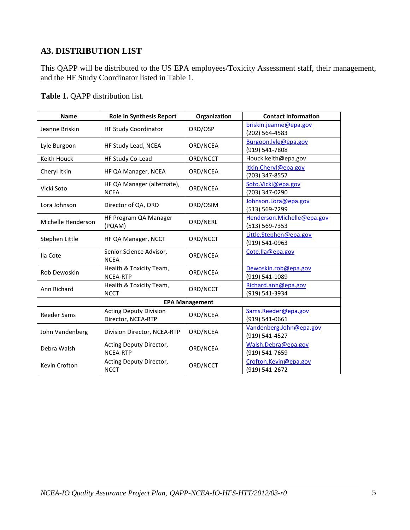### <span id="page-9-0"></span>**A3. DISTRIBUTION LIST**

This QAPP will be distributed to the US EPA employees/Toxicity Assessment staff, their management, and the HF Study Coordinator listed in Table 1.

**Table 1.** QAPP distribution list.

| <b>Name</b>           | <b>Role in Synthesis Report</b>                     | Organization | <b>Contact Information</b>                   |  |
|-----------------------|-----------------------------------------------------|--------------|----------------------------------------------|--|
| Jeanne Briskin        | HF Study Coordinator                                | ORD/OSP      | briskin.jeanne@epa.gov<br>(202) 564-4583     |  |
| Lyle Burgoon          | HF Study Lead, NCEA                                 | ORD/NCEA     | Burgoon.lyle@epa.gov<br>(919) 541-7808       |  |
| Keith Houck           | HF Study Co-Lead                                    | ORD/NCCT     | Houck.keith@epa.gov                          |  |
| Cheryl Itkin          | HF QA Manager, NCEA                                 | ORD/NCEA     | Itkin.Cheryl@epa.gov<br>(703) 347-8557       |  |
| Vicki Soto            | HF QA Manager (alternate),<br><b>NCEA</b>           | ORD/NCEA     | Soto.Vicki@epa.gov<br>(703) 347-0290         |  |
| Lora Johnson          | Director of QA, ORD                                 | ORD/OSIM     | Johnson.Lora@epa.gov<br>(513) 569-7299       |  |
| Michelle Henderson    | HF Program QA Manager<br>(PQAM)                     | ORD/NERL     | Henderson.Michelle@epa.gov<br>(513) 569-7353 |  |
| Stephen Little        | HF QA Manager, NCCT                                 | ORD/NCCT     | Little.Stephen@epa.gov<br>(919) 541-0963     |  |
| Ila Cote              | Senior Science Advisor,<br><b>NCEA</b>              | ORD/NCEA     | Cote.lla@epa.gov                             |  |
| Rob Dewoskin          | Health & Toxicity Team,<br><b>NCEA-RTP</b>          | ORD/NCEA     | Dewoskin.rob@epa.gov<br>(919) 541-1089       |  |
| Ann Richard           | Health & Toxicity Team,<br><b>NCCT</b>              | ORD/NCCT     | Richard.ann@epa.gov<br>(919) 541-3934        |  |
| <b>EPA Management</b> |                                                     |              |                                              |  |
| <b>Reeder Sams</b>    | <b>Acting Deputy Division</b><br>Director, NCEA-RTP | ORD/NCEA     | Sams.Reeder@epa.gov<br>(919) 541-0661        |  |
| John Vandenberg       | Division Director, NCEA-RTP                         | ORD/NCEA     | Vandenberg.John@epa.gov<br>(919) 541-4527    |  |
| Debra Walsh           | Acting Deputy Director,<br>NCEA-RTP                 | ORD/NCEA     | Walsh.Debra@epa.gov<br>(919) 541-7659        |  |
| Kevin Crofton         | Acting Deputy Director,<br><b>NCCT</b>              | ORD/NCCT     | Crofton.Kevin@epa.gov<br>(919) 541-2672      |  |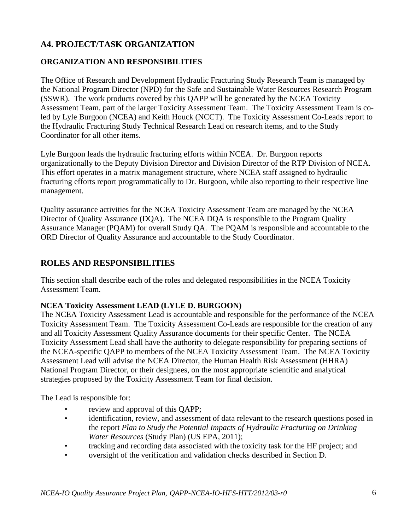## <span id="page-10-0"></span>**A4. PROJECT/TASK ORGANIZATION**

## **ORGANIZATION AND RESPONSIBILITIES**

 led by Lyle Burgoon (NCEA) and Keith Houck (NCCT). The Toxicity Assessment Co-Leads report to Coordinator for all other items. The Office of Research and Development Hydraulic Fracturing Study Research Team is managed by the National Program Director (NPD) for the Safe and Sustainable Water Resources Research Program (SSWR). The work products covered by this QAPP will be generated by the NCEA Toxicity Assessment Team, part of the larger Toxicity Assessment Team. The Toxicity Assessment Team is cothe Hydraulic Fracturing Study Technical Research Lead on research items, and to the Study

 organizationally to the Deputy Division Director and Division Director of the RTP Division of NCEA. fracturing efforts report programmatically to Dr. Burgoon, while also reporting to their respective line Lyle Burgoon leads the hydraulic fracturing efforts within NCEA. Dr. Burgoon reports This effort operates in a matrix management structure, where NCEA staff assigned to hydraulic management.

Quality assurance activities for the NCEA Toxicity Assessment Team are managed by the NCEA Director of Quality Assurance (DQA). The NCEA DQA is responsible to the Program Quality Assurance Manager (PQAM) for overall Study QA. The PQAM is responsible and accountable to the ORD Director of Quality Assurance and accountable to the Study Coordinator.

### **ROLES AND RESPONSIBILITIES**

 Assessment Team. This section shall describe each of the roles and delegated responsibilities in the NCEA Toxicity

#### **NCEA Toxicity Assessment LEAD (LYLE D. BURGOON)**

 Toxicity Assessment Team. The Toxicity Assessment Co-Leads are responsible for the creation of any The NCEA Toxicity Assessment Lead is accountable and responsible for the performance of the NCEA and all Toxicity Assessment Quality Assurance documents for their specific Center. The NCEA Toxicity Assessment Lead shall have the authority to delegate responsibility for preparing sections of the NCEA-specific QAPP to members of the NCEA Toxicity Assessment Team. The NCEA Toxicity Assessment Lead will advise the NCEA Director, the Human Health Risk Assessment (HHRA) National Program Director, or their designees, on the most appropriate scientific and analytical strategies proposed by the Toxicity Assessment Team for final decision.

The Lead is responsible for:

- review and approval of this OAPP;
- *Water Resources* (Study Plan) (US EPA, 2011); • • review and approval of this QAPP;<br>• • identification, review, and assessment of data relevant to the research questions posed in the report *Plan to Study the Potential Impacts of Hydraulic Fracturing on Drinking*
- tracking and recording data associated with the toxicity task for the HF project; and
- oversight of the verification and validation checks described in Section D.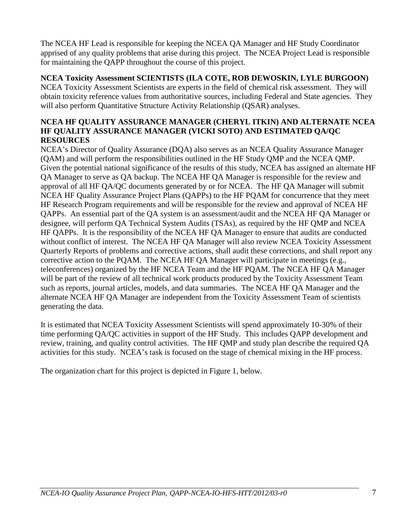apprised of any quality problems that arise during this project. The NCEA Project Lead is responsible The NCEA HF Lead is responsible for keeping the NCEA QA Manager and HF Study Coordinator for maintaining the QAPP throughout the course of this project.

#### **NCEA Toxicity Assessment SCIENTISTS (ILA COTE, ROB DEWOSKIN, LYLE BURGOON)**

 obtain toxicity reference values from authoritative sources, including Federal and State agencies. They will also perform Quantitative Structure Activity Relationship (QSAR) analyses. NCEA Toxicity Assessment Scientists are experts in the field of chemical risk assessment. They will

#### **NCEA HF QUALITY ASSURANCE MANAGER (CHERYL ITKIN) AND ALTERNATE NCEA HF QUALITY ASSURANCE MANAGER (VICKI SOTO) AND ESTIMATED QA/QC RESOURCES**

 approval of all HF QA/QC documents generated by or for NCEA. The HF QA Manager will submit QAPPs. An essential part of the QA system is an assessment/audit and the NCEA HF QA Manager or HF QAPPs. It is the responsibility of the NCEA HF QA Manager to ensure that audits are conducted teleconferences) organized by the HF NCEA Team and the HF PQAM. The NCEA HF QA Manager will be part of the review of all technical work products produced by the Toxicity Assessment Team such as reports, journal articles, models, and data summaries. The NCEA HF QA Manager and the NCEA's Director of Quality Assurance (DQA) also serves as an NCEA Quality Assurance Manager (QAM) and will perform the responsibilities outlined in the HF Study QMP and the NCEA QMP. Given the potential national significance of the results of this study, NCEA has assigned an alternate HF QA Manager to serve as QA backup. The NCEA HF QA Manager is responsible for the review and NCEA HF Quality Assurance Project Plans (QAPPs) to the HF PQAM for concurrence that they meet HF Research Program requirements and will be responsible for the review and approval of NCEA HF designee, will perform QA Technical System Audits (TSAs), as required by the HF QMP and NCEA without conflict of interest. The NCEA HF QA Manager will also review NCEA Toxicity Assessment Quarterly Reports of problems and corrective actions, shall audit these corrections, and shall report any corrective action to the PQAM. The NCEA HF QA Manager will participate in meetings (e.g., alternate NCEA HF QA Manager are independent from the Toxicity Assessment Team of scientists generating the data.

 time performing QA/QC activities in support of the HF Study. This includes QAPP development and review, training, and quality control activities. The HF QMP and study plan describe the required QA It is estimated that NCEA Toxicity Assessment Scientists will spend approximately 10-30% of their activities for this study. NCEA's task is focused on the stage of chemical mixing in the HF process.

The organization chart for this project is depicted in Figure 1, below.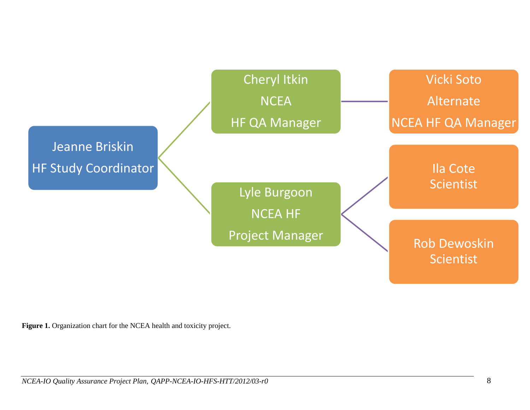

Figure 1. Organization chart for the NCEA health and toxicity project.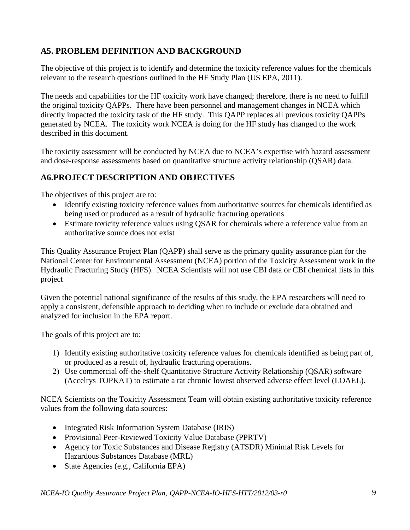## <span id="page-13-0"></span>**A5. PROBLEM DEFINITION AND BACKGROUND**

The objective of this project is to identify and determine the toxicity reference values for the chemicals relevant to the research questions outlined in the HF Study Plan (US EPA, 2011).

 the original toxicity QAPPs. There have been personnel and management changes in NCEA which directly impacted the toxicity task of the HF study. This QAPP replaces all previous toxicity QAPPs generated by NCEA. The toxicity work NCEA is doing for the HF study has changed to the work The needs and capabilities for the HF toxicity work have changed; therefore, there is no need to fulfill described in this document.

The toxicity assessment will be conducted by NCEA due to NCEA's expertise with hazard assessment and dose-response assessments based on quantitative structure activity relationship (QSAR) data.

### <span id="page-13-1"></span>**A6.PROJECT DESCRIPTION AND OBJECTIVES**

The objectives of this project are to:

- Identify existing toxicity reference values from authoritative sources for chemicals identified as being used or produced as a result of hydraulic fracturing operations
- Estimate toxicity reference values using QSAR for chemicals where a reference value from an authoritative source does not exist

 National Center for Environmental Assessment (NCEA) portion of the Toxicity Assessment work in the Hydraulic Fracturing Study (HFS). NCEA Scientists will not use CBI data or CBI chemical lists in this This Quality Assurance Project Plan (QAPP) shall serve as the primary quality assurance plan for the project

Given the potential national significance of the results of this study, the EPA researchers will need to apply a consistent, defensible approach to deciding when to include or exclude data obtained and analyzed for inclusion in the EPA report.

The goals of this project are to:

- 1) Identify existing authoritative toxicity reference values for chemicals identified as being part of, or produced as a result of, hydraulic fracturing operations.
- 2) Use commercial off-the-shelf Quantitative Structure Activity Relationship (QSAR) software (Accelrys TOPKAT) to estimate a rat chronic lowest observed adverse effect level (LOAEL).

NCEA Scientists on the Toxicity Assessment Team will obtain existing authoritative toxicity reference values from the following data sources:

- Integrated Risk Information System Database (IRIS)
- Provisional Peer-Reviewed Toxicity Value Database (PPRTV)
- • Agency for Toxic Substances and Disease Registry (ATSDR) Minimal Risk Levels for Hazardous Substances Database (MRL)
- State Agencies (e.g., California EPA)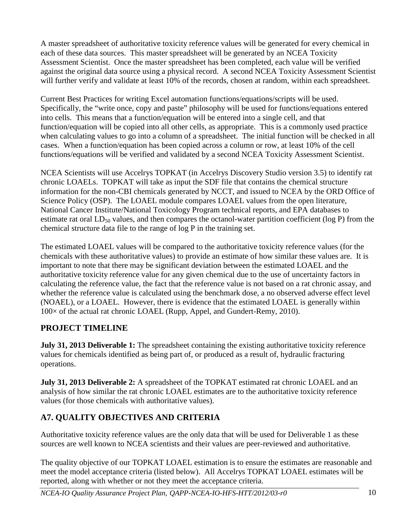each of these data sources. This master spreadsheet will be generated by an NCEA Toxicity Assessment Scientist. Once the master spreadsheet has been completed, each value will be verified will further verify and validate at least 10% of the records, chosen at random, within each spreadsheet. A master spreadsheet of authoritative toxicity reference values will be generated for every chemical in against the original data source using a physical record. A second NCEA Toxicity Assessment Scientist

 into cells. This means that a function/equation will be entered into a single cell, and that when calculating values to go into a column of a spreadsheet. The initial function will be checked in all cases. When a function/equation has been copied across a column or row, at least 10% of the cell functions/equations will be verified and validated by a second NCEA Toxicity Assessment Scientist. Current Best Practices for writing Excel automation functions/equations/scripts will be used. Specifically, the "write once, copy and paste" philosophy will be used for functions/equations entered function/equation will be copied into all other cells, as appropriate. This is a commonly used practice

 NCEA Scientists will use Accelrys TOPKAT (in Accelrys Discovery Studio version 3.5) to identify rat Science Policy (OSP). The LOAEL module compares LOAEL values from the open literature, chronic LOAELs. TOPKAT will take as input the SDF file that contains the chemical structure information for the non-CBI chemicals generated by NCCT, and issued to NCEA by the ORD Office of National Cancer Institute/National Toxicology Program technical reports, and EPA databases to estimate rat oral  $LD_{50}$  values, and then compares the octanol-water partition coefficient (log P) from the chemical structure data file to the range of log P in the training set.

 important to note that there may be significant deviation between the estimated LOAEL and the calculating the reference value, the fact that the reference value is not based on a rat chronic assay, and (NOAEL), or a LOAEL. However, there is evidence that the estimated LOAEL is generally within 100× of the actual rat chronic LOAEL (Rupp, Appel, and Gundert-Remy, 2010). The estimated LOAEL values will be compared to the authoritative toxicity reference values (for the chemicals with these authoritative values) to provide an estimate of how similar these values are. It is authoritative toxicity reference value for any given chemical due to the use of uncertainty factors in whether the reference value is calculated using the benchmark dose, a no observed adverse effect level

## **PROJECT TIMELINE**

**July 31, 2013 Deliverable 1:** The spreadsheet containing the existing authoritative toxicity reference values for chemicals identified as being part of, or produced as a result of, hydraulic fracturing operations.

**July 31, 2013 Deliverable 2:** A spreadsheet of the TOPKAT estimated rat chronic LOAEL and an analysis of how similar the rat chronic LOAEL estimates are to the authoritative toxicity reference values (for those chemicals with authoritative values).

## <span id="page-14-0"></span>**A7. QUALITY OBJECTIVES AND CRITERIA**

 Authoritative toxicity reference values are the only data that will be used for Deliverable 1 as these sources are well known to NCEA scientists and their values are peer-reviewed and authoritative.

 The quality objective of our TOPKAT LOAEL estimation is to ensure the estimates are reasonable and meet the model acceptance criteria (listed below). All Accelrys TOPKAT LOAEL estimates will be reported, along with whether or not they meet the acceptance criteria.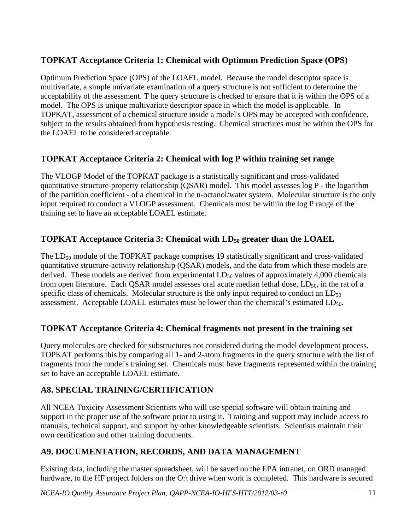## **TOPKAT Acceptance Criteria 1: Chemical with Optimum Prediction Space (OPS)**

 Optimum Prediction Space (OPS) of the LOAEL model. Because the model descriptor space is acceptability of the assessment. T he query structure is checked to ensure that it is within the OPS of a model. The OPS is unique multivariate descriptor space in which the model is applicable. In subject to the results obtained from hypothesis testing. Chemical structures must be within the OPS for multivariate, a simple univariate examination of a query structure is not sufficient to determine the TOPKAT, assessment of a chemical structure inside a model's OPS may be accepted with confidence, the LOAEL to be considered acceptable.

## **TOPKAT Acceptance Criteria 2: Chemical with log P within training set range**

 The VLOGP Model of the TOPKAT package is a statistically significant and cross-validated quantitative structure-property relationship (QSAR) model. This model assesses log P - the logarithm of the partition coefficient - of a chemical in the n-octanol/water system. Molecular structure is the only input required to conduct a VLOGP assessment. Chemicals must be within the log P range of the training set to have an acceptable LOAEL estimate.

## **TOPKAT Acceptance Criteria 3: Chemical with LD<sub>50</sub> greater than the LOAEL**

The  $LD_{50}$  module of the TOPKAT package comprises 19 statistically significant and cross-validated from open literature. Each QSAR model assesses oral acute median lethal dose,  $LD_{50}$ , in the rat of a assessment. Acceptable LOAEL estimates must be lower than the chemical's estimated  $LD_{50}$ . quantitative structure-activity relationship (QSAR) models, and the data from which these models are derived. These models are derived from experimental  $LD_{50}$  values of approximately 4,000 chemicals specific class of chemicals. Molecular structure is the only input required to conduct an  $LD_{50}$ 

## **TOPKAT Acceptance Criteria 4: Chemical fragments not present in the training set**

 Query molecules are checked for substructures not considered during the model development process. TOPKAT performs this by comparing all 1- and 2-atom fragments in the query structure with the list of fragments from the model's training set. Chemicals must have fragments represented within the training set to have an acceptable LOAEL estimate.

## <span id="page-15-0"></span>**A8. SPECIAL TRAINING/CERTIFICATION**

 support in the proper use of the software prior to using it. Training and support may include access to manuals, technical support, and support by other knowledgeable scientists. Scientists maintain their All NCEA Toxicity Assessment Scientists who will use special software will obtain training and own certification and other training documents.

## <span id="page-15-1"></span>**A9. DOCUMENTATION, RECORDS, AND DATA MANAGEMENT**

hardware, to the HF project folders on the O:\ drive when work is completed. This hardware is secured Existing data, including the master spreadsheet, will be saved on the EPA intranet, on ORD managed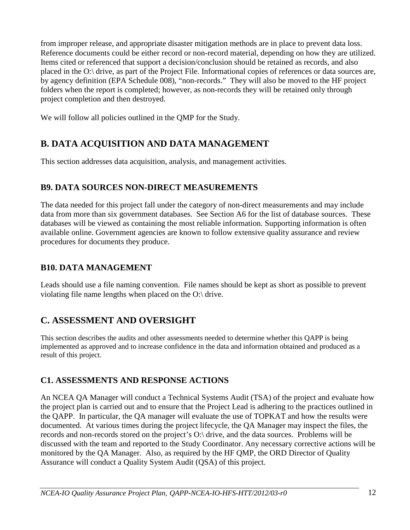from improper release, and appropriate disaster mitigation methods are in place to prevent data loss. placed in the O:\ drive, as part of the Project File. Informational copies of references or data sources are, Reference documents could be either record or non-record material, depending on how they are utilized. Items cited or referenced that support a decision/conclusion should be retained as records, and also by agency definition (EPA Schedule 008), "non-records." They will also be moved to the HF project folders when the report is completed; however, as non-records they will be retained only through project completion and then destroyed.

<span id="page-16-0"></span>We will follow all policies outlined in the QMP for the Study.

# **B. DATA ACQUISITION AND DATA MANAGEMENT**

This section addresses data acquisition, analysis, and management activities.

## <span id="page-16-1"></span>**B9. DATA SOURCES NON-DIRECT MEASUREMENTS**

 procedures for documents they produce. The data needed for this project fall under the category of non-direct measurements and may include data from more than six government databases. See Section A6 for the list of database sources. These databases will be viewed as containing the most reliable information. Supporting information is often available online. Government agencies are known to follow extensive quality assurance and review

## <span id="page-16-2"></span>**B10. DATA MANAGEMENT**

 Leads should use a file naming convention. File names should be kept as short as possible to prevent violating file name lengths when placed on the O:\ drive.

# <span id="page-16-3"></span>**C. ASSESSMENT AND OVERSIGHT**

 This section describes the audits and other assessments needed to determine whether this QAPP is being implemented as approved and to increase confidence in the data and information obtained and produced as a result of this project.

## <span id="page-16-4"></span>**C1. ASSESSMENTS AND RESPONSE ACTIONS**

 An NCEA QA Manager will conduct a Technical Systems Audit (TSA) of the project and evaluate how the project plan is carried out and to ensure that the Project Lead is adhering to the practices outlined in the QAPP. In particular, the QA manager will evaluate the use of TOPKAT and how the results were documented. At various times during the project lifecycle, the QA Manager may inspect the files, the records and non-records stored on the project's O:\ drive, and the data sources. Problems will be discussed with the team and reported to the Study Coordinator. Any necessary corrective actions will be monitored by the QA Manager. Also, as required by the HF QMP, the ORD Director of Quality Assurance will conduct a Quality System Audit (QSA) of this project.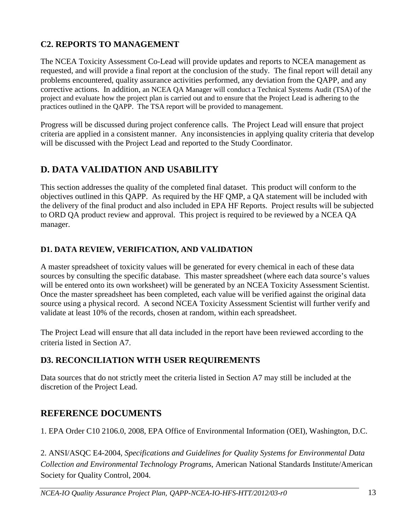## <span id="page-17-0"></span>**C2. REPORTS TO MANAGEMENT**

 The NCEA Toxicity Assessment Co-Lead will provide updates and reports to NCEA management as corrective actions. In addition, an NCEA QA Manager will conduct a Technical Systems Audit (TSA) of the practices outlined in the QAPP. The TSA report will be provided to management. requested, and will provide a final report at the conclusion of the study. The final report will detail any problems encountered, quality assurance activities performed, any deviation from the QAPP, and any project and evaluate how the project plan is carried out and to ensure that the Project Lead is adhering to the

Progress will be discussed during project conference calls. The Project Lead will ensure that project criteria are applied in a consistent manner. Any inconsistencies in applying quality criteria that develop will be discussed with the Project Lead and reported to the Study Coordinator.

## <span id="page-17-1"></span>**D. DATA VALIDATION AND USABILITY**

 to ORD QA product review and approval. This project is required to be reviewed by a NCEA QA This section addresses the quality of the completed final dataset. This product will conform to the objectives outlined in this QAPP. As required by the HF QMP, a QA statement will be included with the delivery of the final product and also included in EPA HF Reports. Project results will be subjected manager.

#### <span id="page-17-2"></span>**D1. DATA REVIEW, VERIFICATION, AND VALIDATION**

 will be entered onto its own worksheet) will be generated by an NCEA Toxicity Assessment Scientist. source using a physical record. A second NCEA Toxicity Assessment Scientist will further verify and validate at least 10% of the records, chosen at random, within each spreadsheet. A master spreadsheet of toxicity values will be generated for every chemical in each of these data sources by consulting the specific database. This master spreadsheet (where each data source's values Once the master spreadsheet has been completed, each value will be verified against the original data

 The Project Lead will ensure that all data included in the report have been reviewed according to the criteria listed in Section A7.

### <span id="page-17-3"></span>**D3. RECONCILIATION WITH USER REQUIREMENTS**

 discretion of the Project Lead. Data sources that do not strictly meet the criteria listed in Section A7 may still be included at the

## <span id="page-17-4"></span>**REFERENCE DOCUMENTS**

1. EPA Order C10 2106.0, 2008, EPA Office of Environmental Information (OEI), Washington, D.C.

2. ANSI/ASQC E4-2004, *Specifications and Guidelines for Quality Systems for Environmental Data Collection and Environmental Technology Programs*, American National Standards Institute/American Society for Quality Control, 2004.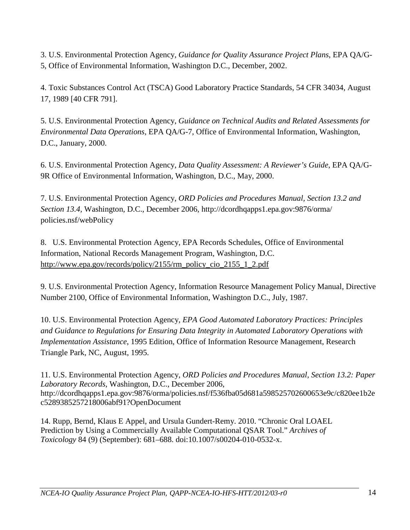3. U.S. Environmental Protection Agency, *Guidance for Quality Assurance Project Plans*, EPA QA/G-5, Office of Environmental Information, Washington D.C., December, 2002.

4. Toxic Substances Control Act (TSCA) Good Laboratory Practice Standards, 54 CFR 34034, August 17, 1989 [40 CFR 791].

5. U.S. Environmental Protection Agency, *Guidance on Technical Audits and Related Assessments for Environmental Data Operations*, EPA QA/G-7, Office of Environmental Information, Washington, D.C., January, 2000.

6. U.S. Environmental Protection Agency, *Data Quality Assessment: A Reviewer's Guide*, EPA QA/G-9R Office of Environmental Information, Washington, D.C., May, 2000.

7. U.S. Environmental Protection Agency, *ORD Policies and Procedures Manual, Section 13.2 and Section 13.4,* Washington, D.C., December 2006, <http://dcordhqapps1.epa.gov:9876/orma/> policies.nsf/webPolicy

8. U.S. Environmental Protection Agency, EPA Records Schedules, Office of Environmental Information, National Records Management Program, Washington, D.C. [http://www.epa.gov/records/policy/2155/rm\\_policy\\_cio\\_2155\\_1\\_2.pdf](http://www.epa.gov/records/policy/2155/rm_policy_cio_2155_1_2.pdf) 

9. U.S. Environmental Protection Agency, Information Resource Management Policy Manual, Directive Number 2100, Office of Environmental Information, Washington D.C., July, 1987.

 *Implementation Assistance*, 1995 Edition, Office of Information Resource Management, Research 10. U.S. Environmental Protection Agency, *EPA Good Automated Laboratory Practices: Principles and Guidance to Regulations for Ensuring Data Integrity in Automated Laboratory Operations with*  Triangle Park, NC, August, 1995.

11. U.S. Environmental Protection Agency, *ORD Policies and Procedures Manual, Section 13.2: Paper Laboratory Records*, Washington, D.C., December 2006, <http://dcordhqapps1.epa.gov:9876/orma/policies.nsf/f536fba05d681a598525702600653e9c/c820ee1b2e> c5289385257218006abf91?OpenDocument

 14. Rupp, Bernd, Klaus E Appel, and Ursula Gundert-Remy. 2010. "Chronic Oral LOAEL Prediction by Using a Commercially Available Computational QSAR Tool." *Archives of Toxicology* 84 (9) (September): 681–688. doi:10.1007/s00204-010-0532-x.